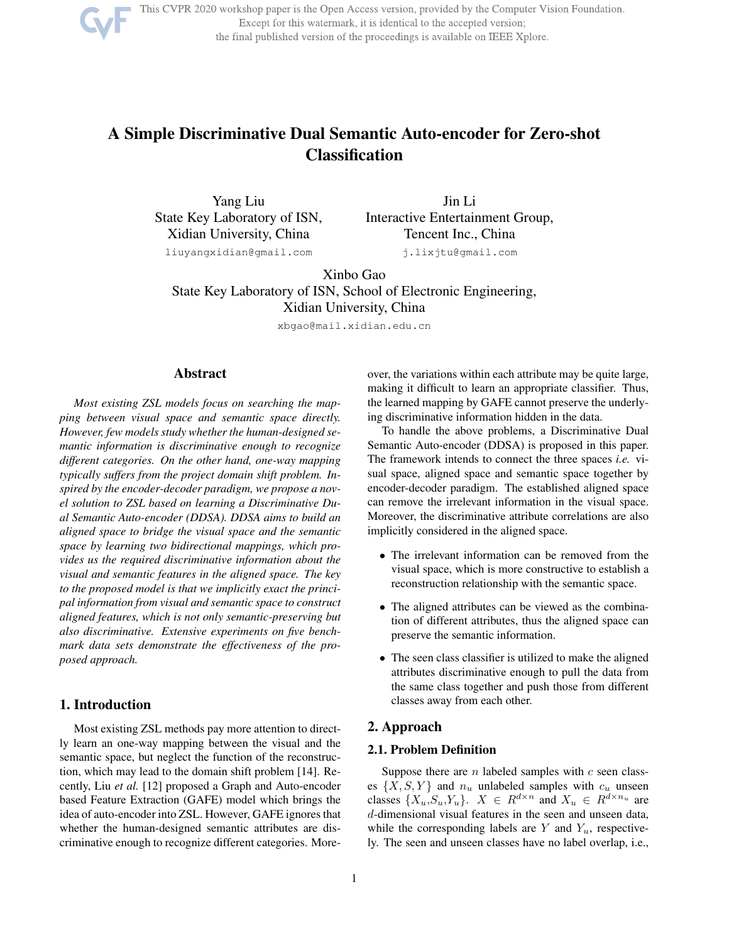This CVPR 2020 workshop paper is the Open Access version, provided by the Computer Vision Foundation. Except for this watermark, it is identical to the accepted version; the final published version of the proceedings is available on IEEE Xplore.

# A Simple Discriminative Dual Semantic Auto-encoder for Zero-shot **Classification**

Yang Liu State Key Laboratory of ISN, Xidian University, China liuyangxidian@gmail.com

Jin Li Interactive Entertainment Group, Tencent Inc., China j.lixjtu@gmail.com

Xinbo Gao State Key Laboratory of ISN, School of Electronic Engineering, Xidian University, China

xbgao@mail.xidian.edu.cn

## Abstract

*Most existing ZSL models focus on searching the mapping between visual space and semantic space directly. However, few models study whether the human-designed semantic information is discriminative enough to recognize different categories. On the other hand, one-way mapping typically suffers from the project domain shift problem. Inspired by the encoder-decoder paradigm, we propose a novel solution to ZSL based on learning a Discriminative Dual Semantic Auto-encoder (DDSA). DDSA aims to build an aligned space to bridge the visual space and the semantic space by learning two bidirectional mappings, which provides us the required discriminative information about the visual and semantic features in the aligned space. The key to the proposed model is that we implicitly exact the principal information from visual and semantic space to construct aligned features, which is not only semantic-preserving but also discriminative. Extensive experiments on five benchmark data sets demonstrate the effectiveness of the proposed approach.*

## 1. Introduction

Most existing ZSL methods pay more attention to directly learn an one-way mapping between the visual and the semantic space, but neglect the function of the reconstruction, which may lead to the domain shift problem [14]. Recently, Liu *et al.* [12] proposed a Graph and Auto-encoder based Feature Extraction (GAFE) model which brings the idea of auto-encoder into ZSL. However, GAFE ignores that whether the human-designed semantic attributes are discriminative enough to recognize different categories. Moreover, the variations within each attribute may be quite large, making it difficult to learn an appropriate classifier. Thus, the learned mapping by GAFE cannot preserve the underlying discriminative information hidden in the data.

To handle the above problems, a Discriminative Dual Semantic Auto-encoder (DDSA) is proposed in this paper. The framework intends to connect the three spaces *i.e.* visual space, aligned space and semantic space together by encoder-decoder paradigm. The established aligned space can remove the irrelevant information in the visual space. Moreover, the discriminative attribute correlations are also implicitly considered in the aligned space.

- The irrelevant information can be removed from the visual space, which is more constructive to establish a reconstruction relationship with the semantic space.
- The aligned attributes can be viewed as the combination of different attributes, thus the aligned space can preserve the semantic information.
- The seen class classifier is utilized to make the aligned attributes discriminative enough to pull the data from the same class together and push those from different classes away from each other.

## 2. Approach

#### 2.1. Problem Definition

Suppose there are  $n$  labeled samples with  $c$  seen classes  $\{X, S, Y\}$  and  $n_u$  unlabeled samples with  $c_u$  unseen classes  $\{X_u, S_u, Y_u\}$ .  $X \in R^{d \times n}$  and  $X_u \in R^{d \times n_u}$  are d-dimensional visual features in the seen and unseen data, while the corresponding labels are  $Y$  and  $Y_u$ , respectively. The seen and unseen classes have no label overlap, i.e.,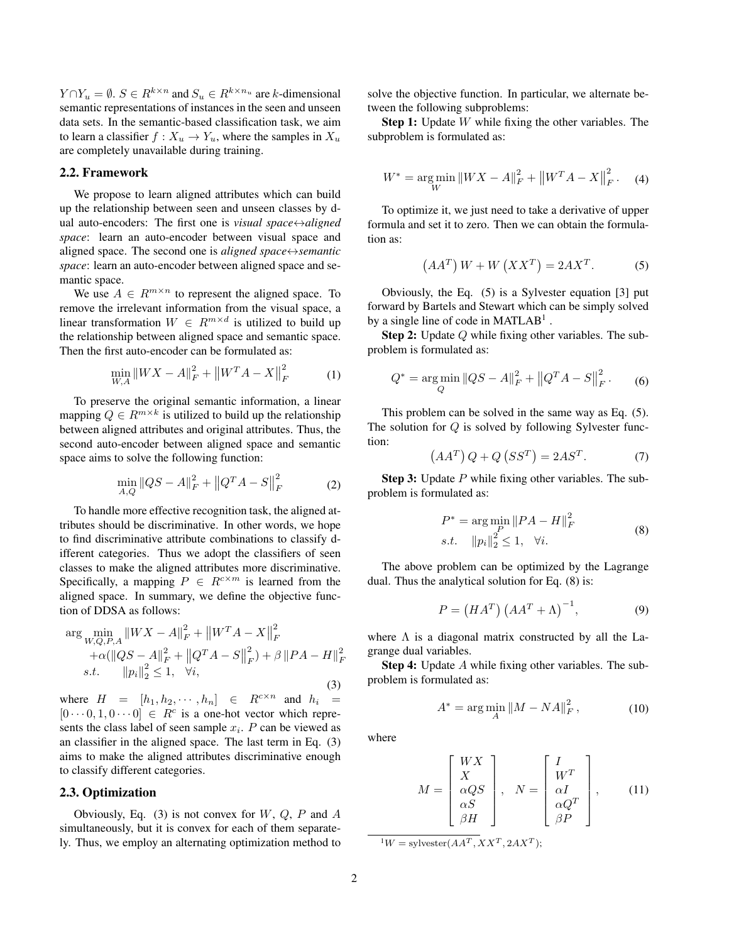$Y \cap Y_u = \emptyset$ .  $S \in R^{k \times n}$  and  $S_u \in R^{k \times n_u}$  are k-dimensional semantic representations of instances in the seen and unseen data sets. In the semantic-based classification task, we aim to learn a classifier  $f : X_u \to Y_u$ , where the samples in  $X_u$ are completely unavailable during training.

#### 2.2. Framework

We propose to learn aligned attributes which can build up the relationship between seen and unseen classes by dual auto-encoders: The first one is *visual space*↔*aligned space*: learn an auto-encoder between visual space and aligned space. The second one is *aligned space*↔*semantic space*: learn an auto-encoder between aligned space and semantic space.

We use  $A \in R^{m \times n}$  to represent the aligned space. To remove the irrelevant information from the visual space, a linear transformation  $W \in R^{m \times d}$  is utilized to build up the relationship between aligned space and semantic space. Then the first auto-encoder can be formulated as:

$$
\min_{W,A} \|WX - A\|_F^2 + \left\|W^T A - X\right\|_F^2 \tag{1}
$$

To preserve the original semantic information, a linear mapping  $Q \in R^{m \times k}$  is utilized to build up the relationship between aligned attributes and original attributes. Thus, the second auto-encoder between aligned space and semantic space aims to solve the following function:

$$
\min_{A,Q} \|QS - A\|_F^2 + \|Q^T A - S\|_F^2 \tag{2}
$$

To handle more effective recognition task, the aligned attributes should be discriminative. In other words, we hope to find discriminative attribute combinations to classify different categories. Thus we adopt the classifiers of seen classes to make the aligned attributes more discriminative. Specifically, a mapping  $P \in R^{c \times m}$  is learned from the aligned space. In summary, we define the objective function of DDSA as follows:

$$
\arg\min_{W,Q,P,A} \|WX - A\|_F^2 + \|W^T A - X\|_F^2 + \left\|\alpha_{P,Q,P,A}^2\right\|_{\mathcal{F}}^2 + \left\|\alpha_{P,Q,P,A}^2\right\|_{\mathcal{F}}^2 + \left\|\alpha_{P,Q,P,A}^2 - S\right\|_{\mathcal{F}}^2 + \beta \|PA - H\|_F^2 + \frac{1}{2}\beta \le 1, \quad \forall i,
$$
\n(3)

where  $H = [h_1, h_2, \cdots, h_n] \in R^{c \times n}$  and  $h_i =$  $[0 \cdots 0, 1, 0 \cdots 0] \in R^c$  is a one-hot vector which represents the class label of seen sample  $x_i$ .  $P$  can be viewed as an classifier in the aligned space. The last term in Eq. (3) aims to make the aligned attributes discriminative enough to classify different categories.

# 2.3. Optimization

Obviously, Eq. (3) is not convex for  $W$ ,  $Q$ ,  $P$  and  $A$ simultaneously, but it is convex for each of them separately. Thus, we employ an alternating optimization method to solve the objective function. In particular, we alternate between the following subproblems:

Step 1: Update W while fixing the other variables. The subproblem is formulated as:

$$
W^* = \underset{W}{\text{arg min}} \left\|WX - A\right\|_F^2 + \left\|W^T A - X\right\|_F^2. \tag{4}
$$

To optimize it, we just need to take a derivative of upper formula and set it to zero. Then we can obtain the formulation as:

$$
(AAT) W + W (XXT) = 2AXT.
$$
 (5)

Obviously, the Eq. (5) is a Sylvester equation [3] put forward by Bartels and Stewart which can be simply solved by a single line of code in MATLAB<sup>1</sup>.

Step 2: Update Q while fixing other variables. The subproblem is formulated as:

$$
Q^* = \underset{Q}{\arg\min} \|QS - A\|_F^2 + \|Q^T A - S\|_F^2. \tag{6}
$$

This problem can be solved in the same way as Eq. (5). The solution for  $Q$  is solved by following Sylvester function:

$$
(AAT) Q + Q (SST) = 2AST.
$$
 (7)

**Step 3:** Update  $P$  while fixing other variables. The subproblem is formulated as:

$$
P^* = \arg\min_{P} \|PA - H\|_F^2
$$
  
s.t.  $||p_i||_2^2 \le 1$ ,  $\forall i$ . (8)

The above problem can be optimized by the Lagrange dual. Thus the analytical solution for Eq. (8) is:

$$
P = \left(HA^T\right) \left(AA^T + \Lambda\right)^{-1},\tag{9}
$$

where  $\Lambda$  is a diagonal matrix constructed by all the Lagrange dual variables.

Step 4: Update A while fixing other variables. The subproblem is formulated as:

$$
A^* = \arg\min_A \|M - NA\|_F^2, \tag{10}
$$

where

$$
M = \begin{bmatrix} WX \\ X \\ \alpha QS \\ \alphaS \\ \betaH \end{bmatrix}, \quad N = \begin{bmatrix} I \\ W^T \\ \alphaI \\ \alphaQ^T \\ \betaP \end{bmatrix}, \quad (11)
$$

 $\frac{1}{1}W = \text{sylvester}(AA^T, XX^T, 2AX^T);$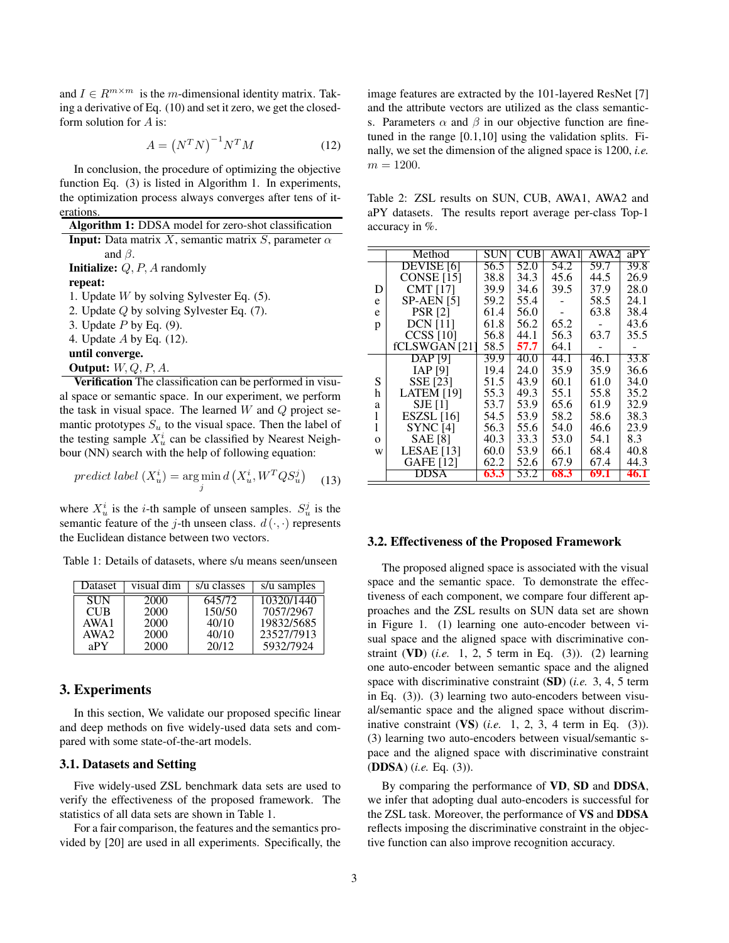and  $I \in R^{m \times m}$  is the m-dimensional identity matrix. Taking a derivative of Eq. (10) and set it zero, we get the closedform solution for A is:

$$
A = \left(N^T N\right)^{-1} N^T M \tag{12}
$$

In conclusion, the procedure of optimizing the objective function Eq. (3) is listed in Algorithm 1. In experiments, the optimization process always converges after tens of iterations.

| Algorithm 1: DDSA model for zero-shot classification               |
|--------------------------------------------------------------------|
| <b>Input:</b> Data matrix X, semantic matrix S, parameter $\alpha$ |
| and $\beta$ .                                                      |
| <b>Initialize:</b> $Q, P, A$ randomly                              |
| repeat:                                                            |
| 1. Update W by solving Sylvester Eq. $(5)$ .                       |
| 2. Update $Q$ by solving Sylvester Eq. $(7)$ .                     |
| 3. Update $P$ by Eq. (9).                                          |
| 4. Update $A$ by Eq. (12).                                         |
| until converge.                                                    |
| <b>Output:</b> $W, Q, P, A$ .                                      |
| Verification The classification can be performed in visu-          |
| d space or semantic space. In our experiment, we perform           |

al space or semantic space. In our experiment, we perform the task in visual space. The learned  $W$  and  $Q$  project semantic prototypes  $S_u$  to the visual space. Then the label of the testing sample  $X_u^i$  can be classified by Nearest Neighbour (NN) search with the help of following equation:

$$
predict \; label \; (X_u^i) = \argmin_j d\left(X_u^i, W^T Q S_u^j\right) \quad \ \ (13)
$$

where  $X_u^i$  is the *i*-th sample of unseen samples.  $S_u^j$  is the semantic feature of the j-th unseen class.  $d(\cdot, \cdot)$  represents the Euclidean distance between two vectors.

Table 1: Details of datasets, where s/u means seen/unseen

| Dataset          | visual dim | s/u classes | s/u samples |
|------------------|------------|-------------|-------------|
| SUN              | 2000       | 645/72      | 10320/1440  |
| <b>CUB</b>       | 2000       | 150/50      | 7057/2967   |
| AWA1             | 2000       | 40/10       | 19832/5685  |
| AWA <sub>2</sub> | 2000       | 40/10       | 23527/7913  |
| aPY              | 2000       | 20/12       | 5932/7924   |

# 3. Experiments

In this section, We validate our proposed specific linear and deep methods on five widely-used data sets and compared with some state-of-the-art models.

## 3.1. Datasets and Setting

Five widely-used ZSL benchmark data sets are used to verify the effectiveness of the proposed framework. The statistics of all data sets are shown in Table 1.

For a fair comparison, the features and the semantics provided by [20] are used in all experiments. Specifically, the image features are extracted by the 101-layered ResNet [7] and the attribute vectors are utilized as the class semantics. Parameters  $\alpha$  and  $\beta$  in our objective function are finetuned in the range [0.1,10] using the validation splits. Finally, we set the dimension of the aligned space is 1200, *i.e.*  $m = 1200.$ 

Table 2: ZSL results on SUN, CUB, AWA1, AWA2 and aPY datasets. The results report average per-class Top-1 accuracy in %.

|          | Method                   | SUN  | CUB  | AWA 11 | AWA2 | aPY. |
|----------|--------------------------|------|------|--------|------|------|
|          | DEVISE [6]               | 56.5 | 52.0 | 54.2   | 59.7 | 39.8 |
|          | <b>CONSE</b> [15]        | 38.8 | 34.3 | 45.6   | 44.5 | 26.9 |
| D        | <b>CMT</b> [17]          | 39.9 | 34.6 | 39.5   | 37.9 | 28.0 |
| e        | SP-AEN [5]               | 59.2 | 55.4 |        | 58.5 | 24.1 |
| e        | <b>PSR [2]</b>           | 61.4 | 56.0 |        | 63.8 | 38.4 |
| p        | <b>DCN</b> [11]          | 61.8 | 56.2 | 65.2   |      | 43.6 |
|          | <b>CCSS</b> [10]         | 56.8 | 44.1 | 56.3   | 63.7 | 35.5 |
|          | fCLSWGAN <sub>[21]</sub> | 58.5 | 57.7 | 64.1   |      |      |
|          | DAP [9]                  | 39.9 | 40.0 | 44.1   | 46.1 | 33.8 |
|          | $IAP$ [9]                | 19.4 | 24.0 | 35.9   | 35.9 | 36.6 |
| S        | <b>SSE</b> [23]          | 51.5 | 43.9 | 60.1   | 61.0 | 34.0 |
| h        | LATEM [19]               | 55.3 | 49.3 | 55.1   | 55.8 | 35.2 |
| a        | $SJE$ [1]                | 53.7 | 53.9 | 65.6   | 61.9 | 32.9 |
| 1        | $ESZSL$ [16]             | 54.5 | 53.9 | 58.2   | 58.6 | 38.3 |
| 1        | SYNC <sub>[4]</sub>      | 56.3 | 55.6 | 54.0   | 46.6 | 23.9 |
| $\Omega$ | <b>SAE</b> [8]           | 40.3 | 33.3 | 53.0   | 54.1 | 8.3  |
| W        | <b>LESAE</b> [13]        | 60.0 | 53.9 | 66.1   | 68.4 | 40.8 |
|          | <b>GAFE</b> [12]         | 62.2 | 52.6 | 67.9   | 67.4 | 44.3 |
|          | DDSA                     | 63.3 | 53.2 | 68.3   | 69.1 | 46.1 |

#### 3.2. Effectiveness of the Proposed Framework

The proposed aligned space is associated with the visual space and the semantic space. To demonstrate the effectiveness of each component, we compare four different approaches and the ZSL results on SUN data set are shown in Figure 1. (1) learning one auto-encoder between visual space and the aligned space with discriminative constraint (VD) (*i.e.* 1, 2, 5 term in Eq. (3)). (2) learning one auto-encoder between semantic space and the aligned space with discriminative constraint (SD) (*i.e.* 3, 4, 5 term in Eq. (3)). (3) learning two auto-encoders between visual/semantic space and the aligned space without discriminative constraint (VS) (*i.e.* 1, 2, 3, 4 term in Eq. (3)). (3) learning two auto-encoders between visual/semantic space and the aligned space with discriminative constraint (DDSA) (*i.e.* Eq. (3)).

By comparing the performance of VD, SD and DDSA, we infer that adopting dual auto-encoders is successful for the ZSL task. Moreover, the performance of VS and DDSA reflects imposing the discriminative constraint in the objective function can also improve recognition accuracy.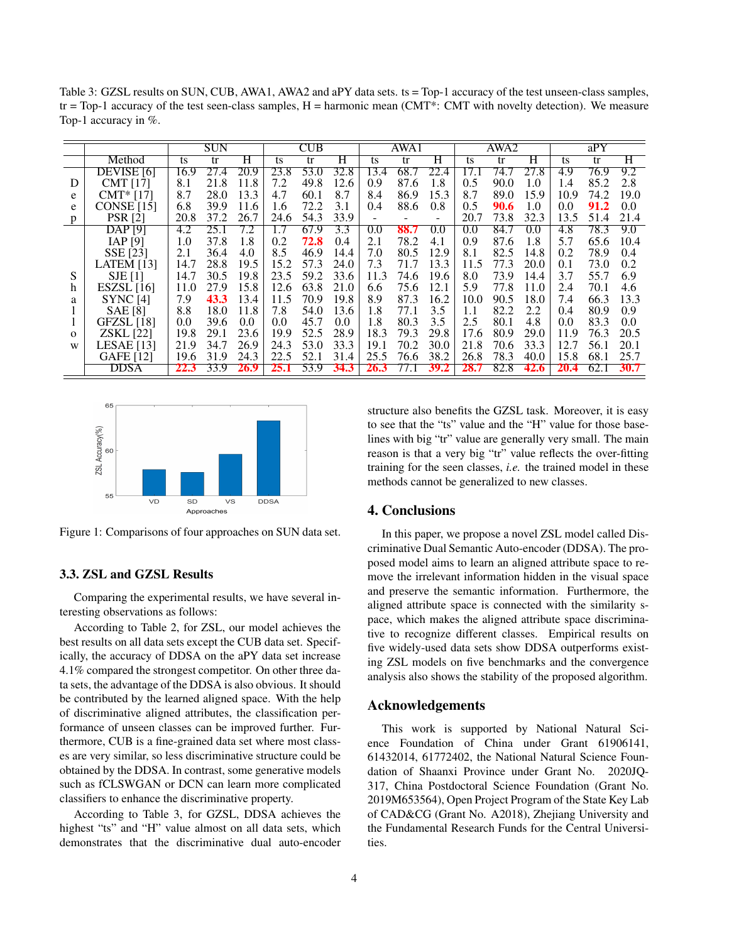Table 3: GZSL results on SUN, CUB, AWA1, AWA2 and aPY data sets. ts = Top-1 accuracy of the test unseen-class samples,  $tr = Top-1$  accuracy of the test seen-class samples,  $H = harmonic$  mean (CMT<sup>\*</sup>: CMT with novelty detection). We measure Top-1 accuracy in %.

|          |                       | SUN  |      |      | $\overline{\mathrm{CUB}}$<br>AWA 1 |      |      | AWA2 |      |      | aPY  |      |      |         |      |      |
|----------|-----------------------|------|------|------|------------------------------------|------|------|------|------|------|------|------|------|---------|------|------|
|          | Method                | ts   | tr   | H    | ts                                 | tr   | Н    | ts   | tr   | H    | ts   | tr   | H    | ts      | tr   | Η    |
|          | <b>DEVISE</b> [6]     | 16.9 | 27.4 | 20.9 | 23.8                               | 53.0 | 32.8 | 13.4 | 68.7 | 22.4 | 7.1  | 74.7 | 27.8 | 4.9     | 76.9 | 9.2  |
| D        | <b>CMT</b> [17]       | 8.1  | 21.8 | 11.8 | 7.2                                | 49.8 | 12.6 | 0.9  | 87.6 | 1.8  | 0.5  | 90.0 | 1.0  | 1.4     | 85.2 | 2.8  |
| e        | $CMT*$ [17]           | 8.7  | 28.0 | 13.3 | 4.7                                | 60.1 | 8.7  | 8.4  | 86.9 | 15.3 | 8.7  | 89.0 | 15.9 | 10.9    | 74.2 | 19.0 |
| e        | <b>CONSE</b> [15]     | 6.8  | 39.9 | 11.6 | 1.6                                | 72.2 | 3.1  | 0.4  | 88.6 | 0.8  | 0.5  | 90.6 | 1.0  | 0.0     | 91.2 | 0.0  |
| p        | <b>PSR</b> [2]        | 20.8 | 37.2 | 26.7 | 24.6                               | 54.3 | 33.9 |      |      |      | 20.7 | 73.8 | 32.3 | 13.5    | 51.4 | 21.4 |
|          | DAP[9]                | 4.2  | 25.1 | 7.2  | I.7                                | 67.9 | 3.3  | 0.0  | 88.7 | 0.0  | 0.0  | 84.7 | 0.0  | 4.8     | 78.3 | 9.0  |
|          | $IAP$ [9]             | 1.0  | 37.8 | 1.8  | 0.2                                | 72.8 | 0.4  | 2.1  | 78.2 | 4.1  | 0.9  | 87.6 | 1.8  | 5.7     | 65.6 | 10.4 |
|          | SSE [23]              | 2.1  | 36.4 | 4.0  | 8.5                                | 46.9 | 14.4 | 7.0  | 80.5 | 12.9 | 8.1  | 82.5 | 14.8 | 0.2     | 78.9 | 0.4  |
|          | LATEM $[13]$          | 14.7 | 28.8 | 19.5 | 15.2                               | 57.3 | 24.0 | 7.3  | 71.7 | 13.3 | 11.5 | 77.3 | 20.0 | $0.1\,$ | 73.0 | 0.2  |
| S        | $SJE$ [1]             | 14.7 | 30.5 | 19.8 | 23.5                               | 59.2 | 33.6 | 11.3 | 74.6 | 19.6 | 8.0  | 73.9 | 14.4 | 3.7     | 55.7 | 6.9  |
| h        | ESZSL $[16]$          | 11.0 | 27.9 | 15.8 | 12.6                               | 63.8 | 21.0 | 6.6  | 75.6 | 12.1 | 5.9  | 77.8 | 11.0 | 2.4     | 70.1 | 4.6  |
| a        | SYNC <sub>[4]</sub>   | 7.9  | 43.3 | 13.4 | 11.5                               | 70.9 | 19.8 | 8.9  | 87.3 | 16.2 | 10.0 | 90.5 | 18.0 | 7.4     | 66.3 | 13.3 |
|          | <b>SAE</b> [8]        | 8.8  | 18.0 | 11.8 | 7.8                                | 54.0 | 13.6 | 1.8  | 77.1 | 3.5  | 1.1  | 82.2 | 2.2  | 0.4     | 80.9 | 0.9  |
|          | <b>GFZSL</b> [18]     | 0.0  | 39.6 | 0.0  | 0.0                                | 45.7 | 0.0  | 1.8  | 80.3 | 3.5  | 2.5  | 80.1 | 4.8  | $0.0\,$ | 83.3 | 0.0  |
| $\Omega$ | <b>ZSKL</b> [22]      | 19.8 | 29.1 | 23.6 | 19.9                               | 52.5 | 28.9 | 18.3 | 79.3 | 29.8 | 17.6 | 80.9 | 29.0 | 11.9    | 76.3 | 20.5 |
| W        | LESAE <sup>[13]</sup> | 21.9 | 34.7 | 26.9 | 24.3                               | 53.0 | 33.3 | 19.1 | 70.2 | 30.0 | 21.8 | 70.6 | 33.3 | 12.7    | 56.1 | 20.1 |
|          | <b>GAFE</b> [12]      | 19.6 | 31.9 | 24.3 | 22.5                               | 52.1 | 31.4 | 25.5 | 76.6 | 38.2 | 26.8 | 78.3 | 40.0 | 15.8    | 68.1 | 25.7 |
|          | <b>DDSA</b>           | 22.3 | 33.9 | 26.9 | 25.1                               | 53.9 | 34.3 | 26.3 |      | 39.2 | 28.7 | 82.8 | 42.6 | 20.4    |      | 30.7 |



Figure 1: Comparisons of four approaches on SUN data set.

## 3.3. ZSL and GZSL Results

Comparing the experimental results, we have several interesting observations as follows:

According to Table 2, for ZSL, our model achieves the best results on all data sets except the CUB data set. Specifically, the accuracy of DDSA on the aPY data set increase 4.1% compared the strongest competitor. On other three data sets, the advantage of the DDSA is also obvious. It should be contributed by the learned aligned space. With the help of discriminative aligned attributes, the classification performance of unseen classes can be improved further. Furthermore, CUB is a fine-grained data set where most classes are very similar, so less discriminative structure could be obtained by the DDSA. In contrast, some generative models such as fCLSWGAN or DCN can learn more complicated classifiers to enhance the discriminative property.

According to Table 3, for GZSL, DDSA achieves the highest "ts" and "H" value almost on all data sets, which demonstrates that the discriminative dual auto-encoder structure also benefits the GZSL task. Moreover, it is easy to see that the "ts" value and the "H" value for those baselines with big "tr" value are generally very small. The main reason is that a very big "tr" value reflects the over-fitting training for the seen classes, *i.e.* the trained model in these methods cannot be generalized to new classes.

# 4. Conclusions

In this paper, we propose a novel ZSL model called Discriminative Dual Semantic Auto-encoder (DDSA). The proposed model aims to learn an aligned attribute space to remove the irrelevant information hidden in the visual space and preserve the semantic information. Furthermore, the aligned attribute space is connected with the similarity space, which makes the aligned attribute space discriminative to recognize different classes. Empirical results on five widely-used data sets show DDSA outperforms existing ZSL models on five benchmarks and the convergence analysis also shows the stability of the proposed algorithm.

## Acknowledgements

This work is supported by National Natural Science Foundation of China under Grant 61906141, 61432014, 61772402, the National Natural Science Foundation of Shaanxi Province under Grant No. 2020JQ-317, China Postdoctoral Science Foundation (Grant No. 2019M653564), Open Project Program of the State Key Lab of CAD&CG (Grant No. A2018), Zhejiang University and the Fundamental Research Funds for the Central Universities.